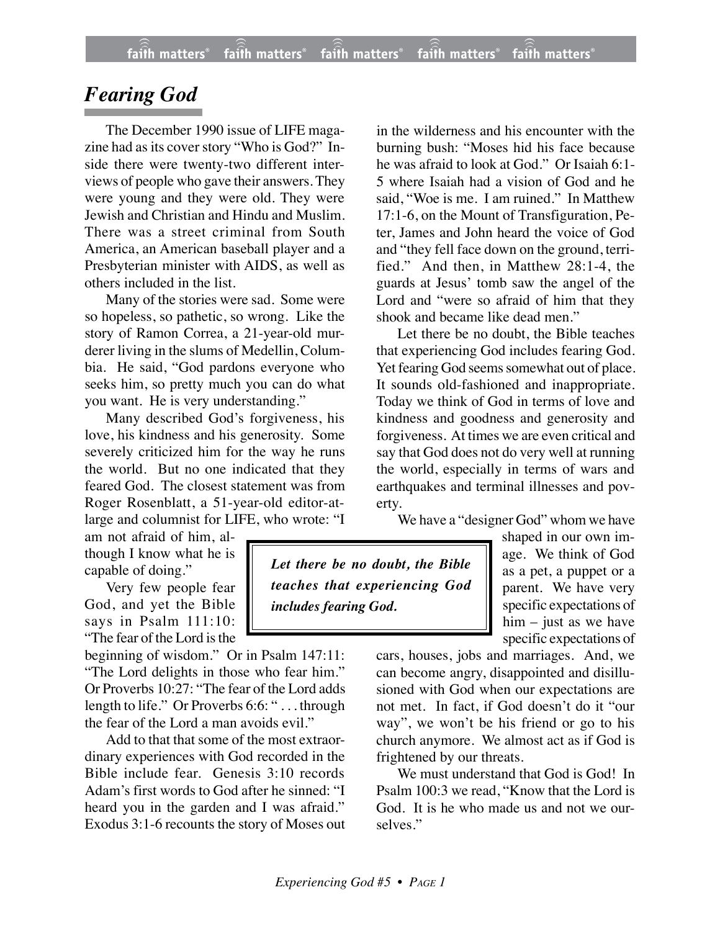## *Fearing God*

The December 1990 issue of LIFE magazine had as its cover story "Who is God?" Inside there were twenty-two different interviews of people who gave their answers. They were young and they were old. They were Jewish and Christian and Hindu and Muslim. There was a street criminal from South America, an American baseball player and a Presbyterian minister with AIDS, as well as others included in the list.

Many of the stories were sad. Some were so hopeless, so pathetic, so wrong. Like the story of Ramon Correa, a 21-year-old murderer living in the slums of Medellin, Columbia. He said, "God pardons everyone who seeks him, so pretty much you can do what you want. He is very understanding."

Many described God's forgiveness, his love, his kindness and his generosity. Some severely criticized him for the way he runs the world. But no one indicated that they feared God. The closest statement was from Roger Rosenblatt, a 51-year-old editor-atlarge and columnist for LIFE, who wrote: "I

am not afraid of him, although I know what he is capable of doing."

Very few people fear God, and yet the Bible says in Psalm 111:10: "The fear of the Lord is the

beginning of wisdom." Or in Psalm 147:11: "The Lord delights in those who fear him." Or Proverbs 10:27: "The fear of the Lord adds length to life." Or Proverbs 6:6: " . . . through the fear of the Lord a man avoids evil."

Add to that that some of the most extraordinary experiences with God recorded in the Bible include fear. Genesis 3:10 records Adam's first words to God after he sinned: "I heard you in the garden and I was afraid." Exodus 3:1-6 recounts the story of Moses out

in the wilderness and his encounter with the burning bush: "Moses hid his face because he was afraid to look at God." Or Isaiah 6:1- 5 where Isaiah had a vision of God and he said, "Woe is me. I am ruined." In Matthew 17:1-6, on the Mount of Transfiguration, Peter, James and John heard the voice of God and "they fell face down on the ground, terrified." And then, in Matthew 28:1-4, the guards at Jesus' tomb saw the angel of the Lord and "were so afraid of him that they shook and became like dead men."

Let there be no doubt, the Bible teaches that experiencing God includes fearing God. Yet fearing God seems somewhat out of place. It sounds old-fashioned and inappropriate. Today we think of God in terms of love and kindness and goodness and generosity and forgiveness. At times we are even critical and say that God does not do very well at running the world, especially in terms of wars and earthquakes and terminal illnesses and poverty.

We have a "designer God" whom we have

*Let there be no doubt, the Bible teaches that experiencing God includes fearing God.*

shaped in our own image. We think of God as a pet, a puppet or a parent. We have very specific expectations of him – just as we have specific expectations of

cars, houses, jobs and marriages. And, we can become angry, disappointed and disillusioned with God when our expectations are not met. In fact, if God doesn't do it "our way", we won't be his friend or go to his church anymore. We almost act as if God is frightened by our threats.

We must understand that God is God! In Psalm 100:3 we read, "Know that the Lord is God. It is he who made us and not we ourselves."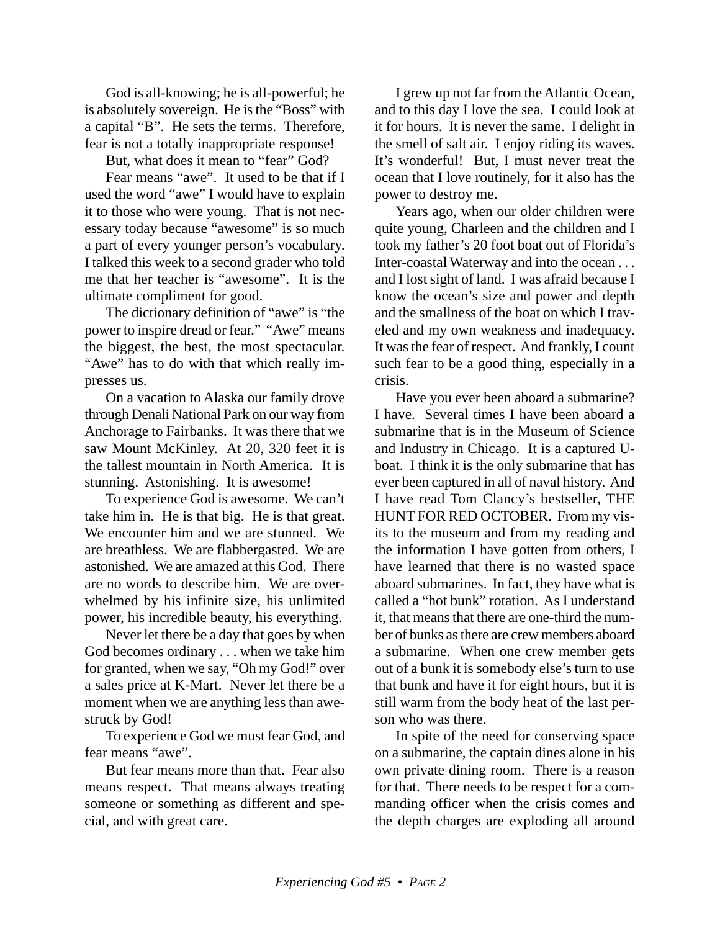God is all-knowing; he is all-powerful; he is absolutely sovereign. He is the "Boss" with a capital "B". He sets the terms. Therefore, fear is not a totally inappropriate response!

But, what does it mean to "fear" God?

Fear means "awe". It used to be that if I used the word "awe" I would have to explain it to those who were young. That is not necessary today because "awesome" is so much a part of every younger person's vocabulary. I talked this week to a second grader who told me that her teacher is "awesome". It is the ultimate compliment for good.

The dictionary definition of "awe" is "the power to inspire dread or fear." "Awe" means the biggest, the best, the most spectacular. "Awe" has to do with that which really impresses us.

On a vacation to Alaska our family drove through Denali National Park on our way from Anchorage to Fairbanks. It was there that we saw Mount McKinley. At 20, 320 feet it is the tallest mountain in North America. It is stunning. Astonishing. It is awesome!

To experience God is awesome. We can't take him in. He is that big. He is that great. We encounter him and we are stunned. We are breathless. We are flabbergasted. We are astonished. We are amazed at this God. There are no words to describe him. We are overwhelmed by his infinite size, his unlimited power, his incredible beauty, his everything.

Never let there be a day that goes by when God becomes ordinary . . . when we take him for granted, when we say, "Oh my God!" over a sales price at K-Mart. Never let there be a moment when we are anything less than awestruck by God!

To experience God we must fear God, and fear means "awe".

But fear means more than that. Fear also means respect. That means always treating someone or something as different and special, and with great care.

I grew up not far from the Atlantic Ocean, and to this day I love the sea. I could look at it for hours. It is never the same. I delight in the smell of salt air. I enjoy riding its waves. It's wonderful! But, I must never treat the ocean that I love routinely, for it also has the power to destroy me.

Years ago, when our older children were quite young, Charleen and the children and I took my father's 20 foot boat out of Florida's Inter-coastal Waterway and into the ocean . . . and I lost sight of land. I was afraid because I know the ocean's size and power and depth and the smallness of the boat on which I traveled and my own weakness and inadequacy. It was the fear of respect. And frankly, I count such fear to be a good thing, especially in a crisis.

Have you ever been aboard a submarine? I have. Several times I have been aboard a submarine that is in the Museum of Science and Industry in Chicago. It is a captured Uboat. I think it is the only submarine that has ever been captured in all of naval history. And I have read Tom Clancy's bestseller, THE HUNT FOR RED OCTOBER. From my visits to the museum and from my reading and the information I have gotten from others, I have learned that there is no wasted space aboard submarines. In fact, they have what is called a "hot bunk" rotation. As I understand it, that means that there are one-third the number of bunks as there are crew members aboard a submarine. When one crew member gets out of a bunk it is somebody else's turn to use that bunk and have it for eight hours, but it is still warm from the body heat of the last person who was there.

In spite of the need for conserving space on a submarine, the captain dines alone in his own private dining room. There is a reason for that. There needs to be respect for a commanding officer when the crisis comes and the depth charges are exploding all around